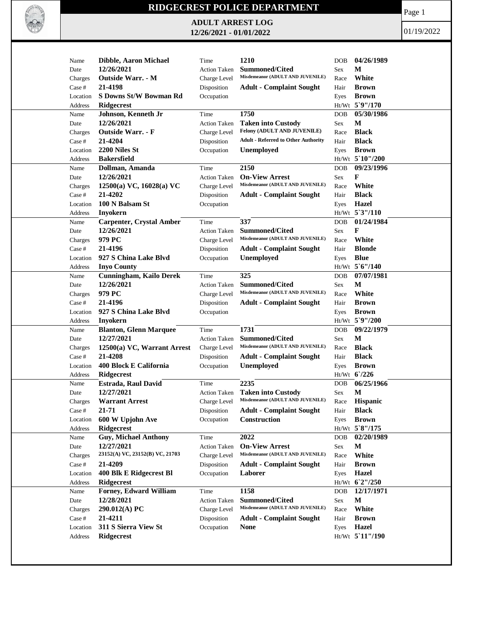

## **RIDGECREST POLICE DEPARTMENT**

**ADULT ARREST LOG 12/26/2021 - 01/01/2022**

Page 1

01/19/2022

| Name                    | <b>Dibble, Aaron Michael</b>    | Time                | 1210                                                      | <b>DOB</b> | 04/26/1989      |
|-------------------------|---------------------------------|---------------------|-----------------------------------------------------------|------------|-----------------|
| Date                    | 12/26/2021                      | <b>Action Taken</b> | <b>Summoned/Cited</b><br>Misdemeanor (ADULT AND JUVENILE) | <b>Sex</b> | М               |
| Charges                 | Outside Warr. - M               | <b>Charge Level</b> |                                                           | Race       | White           |
| Case #                  | 21-4198                         | Disposition         | <b>Adult - Complaint Sought</b>                           | Hair       | <b>Brown</b>    |
| Location                | S Downs St/W Bowman Rd          | Occupation          |                                                           | Eyes       | <b>Brown</b>    |
| Address                 | <b>Ridgecrest</b>               |                     |                                                           |            | Ht/Wt 5`9"/170  |
| Name                    | Johnson, Kenneth Jr             | Time                | 1750                                                      | <b>DOB</b> | 05/30/1986      |
| Date                    | 12/26/2021                      | <b>Action Taken</b> | <b>Taken into Custody</b>                                 | Sex        | M               |
| Charges                 | <b>Outside Warr. - F</b>        | Charge Level        | Felony (ADULT AND JUVENILE)                               | Race       | <b>Black</b>    |
| Case #                  | 21-4204                         | Disposition         | <b>Adult - Referred to Other Authority</b>                | Hair       | <b>Black</b>    |
| Location                | 2200 Niles St                   | Occupation          | Unemployed                                                | Eyes       | <b>Brown</b>    |
| Address                 | <b>Bakersfield</b>              |                     |                                                           |            | Ht/Wt 5`10"/200 |
| Name                    | Dollman, Amanda                 | Time                | 2150                                                      | DOB        | 09/23/1996      |
| Date                    | 12/26/2021                      | <b>Action Taken</b> | <b>On-View Arrest</b>                                     | Sex        | F               |
| Charges                 | $12500(a)$ VC, $16028(a)$ VC    | Charge Level        | Misdemeanor (ADULT AND JUVENILE)                          | Race       | White           |
| Case #                  | 21-4202                         | Disposition         | <b>Adult - Complaint Sought</b>                           | Hair       | <b>Black</b>    |
| Location                | 100 N Balsam St                 | Occupation          |                                                           | Eyes       | <b>Hazel</b>    |
| Address                 | <b>Inyokern</b>                 |                     |                                                           |            | Ht/Wt 5'3"/110  |
| Name                    | <b>Carpenter, Crystal Amber</b> | Time                | 337                                                       | <b>DOB</b> | 01/24/1984      |
| Date                    | 12/26/2021                      | <b>Action Taken</b> | <b>Summoned/Cited</b>                                     | Sex        | F               |
|                         | 979 PC                          |                     | Misdemeanor (ADULT AND JUVENILE)                          |            | White           |
| Charges                 |                                 | Charge Level        |                                                           | Race       |                 |
| Case #                  | 21-4196                         | Disposition         | <b>Adult - Complaint Sought</b>                           | Hair       | <b>Blonde</b>   |
| Location                | 927 S China Lake Blvd           | Occupation          | Unemployed                                                | Eyes       | <b>Blue</b>     |
| Address                 | <b>Inyo County</b>              |                     |                                                           |            | Ht/Wt 5'6"/140  |
| Name                    | <b>Cunningham, Kailo Derek</b>  | Time                | 325                                                       | <b>DOB</b> | 07/07/1981      |
| Date                    | 12/26/2021                      | <b>Action Taken</b> | <b>Summoned/Cited</b>                                     | Sex        | M               |
| Charges                 | 979 PC                          | Charge Level        | Misdemeanor (ADULT AND JUVENILE)                          | Race       | White           |
| Case #                  | 21-4196                         | Disposition         | <b>Adult - Complaint Sought</b>                           | Hair       | <b>Brown</b>    |
| Location                | 927 S China Lake Blvd           | Occupation          |                                                           | Eyes       | <b>Brown</b>    |
| Address                 | Inyokern                        |                     |                                                           |            | Ht/Wt 5`9"/200  |
| Name                    | <b>Blanton, Glenn Marquee</b>   | Time                | 1731                                                      | DOB        | 09/22/1979      |
| Date                    | 12/27/2021                      | Action Taken        | <b>Summoned/Cited</b>                                     | Sex        | M               |
| Charges                 | 12500(a) VC, Warrant Arrest     | Charge Level        | Misdemeanor (ADULT AND JUVENILE)                          | Race       | <b>Black</b>    |
| Case #                  | 21-4208                         | Disposition         | <b>Adult - Complaint Sought</b>                           | Hair       | <b>Black</b>    |
| Location                | 400 Block E California          | Occupation          | <b>Unemployed</b>                                         | Eyes       | <b>Brown</b>    |
| Address                 | Ridgecrest                      |                     |                                                           |            | $Ht/Wt$ 6/226   |
| Name                    | Estrada, Raul David             | Time                | 2235                                                      | <b>DOB</b> | 06/25/1966      |
| Date                    | 12/27/2021                      | <b>Action Taken</b> | <b>Taken into Custody</b>                                 | Sex        | M               |
| Charges                 | <b>Warrant Arrest</b>           | Charge Level        | Misdemeanor (ADULT AND JUVENILE)                          | Race       | <b>Hispanic</b> |
| $\operatorname{Case}$ # | $21 - 71$                       | Disposition         | <b>Adult - Complaint Sought</b>                           | Hair       | <b>Black</b>    |
| Location                | 600 W Upjohn Ave                | Occupation          | Construction                                              | Eyes       | <b>Brown</b>    |
| Address                 | <b>Ridgecrest</b>               |                     |                                                           |            | Ht/Wt 5`8"/175  |
| Name                    | <b>Guy, Michael Anthony</b>     | Time                | 2022                                                      | DOB        | 02/20/1989      |
| Date                    | 12/27/2021                      | Action Taken        | <b>On-View Arrest</b>                                     | Sex        | M               |
| Charges                 | 23152(A) VC, 23152(B) VC, 21703 | Charge Level        | Misdemeanor (ADULT AND JUVENILE)                          | Race       | White           |
| Case #                  | 21-4209                         | Disposition         | <b>Adult - Complaint Sought</b>                           | Hair       | <b>Brown</b>    |
| Location                | 400 Blk E Ridgecrest Bl         | Occupation          | Laborer                                                   | Eyes       | Hazel           |
| Address                 | <b>Ridgecrest</b>               |                     |                                                           |            | Ht/Wt 6'2"/250  |
| Name                    | Forney, Edward William          | Time                | 1158                                                      | DOB        | 12/17/1971      |
|                         | 12/28/2021                      |                     |                                                           |            | $\mathbf M$     |
| Date                    |                                 | <b>Action Taken</b> | Summoned/Cited<br>Misdemeanor (ADULT AND JUVENILE)        | Sex        |                 |
| Charges                 | 290.012(A) PC                   | Charge Level        |                                                           | Race       | White           |
| Case #                  | 21-4211                         | Disposition         | <b>Adult - Complaint Sought</b>                           | Hair       | <b>Brown</b>    |
| Location                | 311 S Sierra View St            | Occupation          | <b>None</b>                                               | Eyes       | Hazel           |
| Address                 | <b>Ridgecrest</b>               |                     |                                                           |            | Ht/Wt 5'11"/190 |
|                         |                                 |                     |                                                           |            |                 |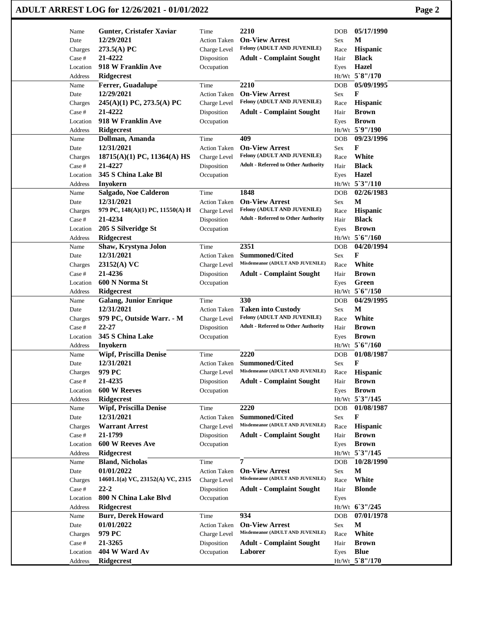|          | ADULT ARREST LOG for 12/26/2021 - 01/01/2022 |                     |                                            |                    |                 | Page 2 |
|----------|----------------------------------------------|---------------------|--------------------------------------------|--------------------|-----------------|--------|
| Name     | Gunter, Cristafer Xaviar                     | Time                | 2210                                       | <b>DOB</b>         | 05/17/1990      |        |
| Date     | 12/29/2021                                   | <b>Action Taken</b> | <b>On-View Arrest</b>                      | M<br>Sex           |                 |        |
| Charges  | 273.5(A) PC                                  | Charge Level        | Felony (ADULT AND JUVENILE)                | Race               | Hispanic        |        |
| Case #   | 21-4222                                      | Disposition         | <b>Adult - Complaint Sought</b>            | Hair               | <b>Black</b>    |        |
| Location | 918 W Franklin Ave                           | Occupation          |                                            | Eyes               | Hazel           |        |
| Address  | Ridgecrest                                   |                     |                                            | Ht/Wt 5`8"/170     |                 |        |
| Name     | Ferrer, Guadalupe                            | Time                | 2210                                       | <b>DOB</b>         | 05/09/1995      |        |
| Date     | 12/29/2021                                   | <b>Action Taken</b> | <b>On-View Arrest</b>                      | F<br>Sex           |                 |        |
| Charges  | $245(A)(1)$ PC, 273.5(A) PC                  | Charge Level        | Felony (ADULT AND JUVENILE)                | Race               | Hispanic        |        |
| Case #   | 21-4222                                      | Disposition         | <b>Adult - Complaint Sought</b>            | Hair               | <b>Brown</b>    |        |
| Location | 918 W Franklin Ave                           | Occupation          |                                            | Eyes               | <b>Brown</b>    |        |
| Address  | Ridgecrest                                   |                     |                                            | Ht/Wt 5`9"/190     |                 |        |
| Name     | Dollman, Amanda                              | Time                | 409                                        | DOB                | 09/23/1996      |        |
| Date     | 12/31/2021                                   | <b>Action Taken</b> | <b>On-View Arrest</b>                      | F<br>Sex           |                 |        |
| Charges  | 18715(A)(1) PC, 11364(A) HS                  | Charge Level        | Felony (ADULT AND JUVENILE)                | Race               | White           |        |
| Case #   | 21-4227                                      | Disposition         | <b>Adult - Referred to Other Authority</b> | Hair               | <b>Black</b>    |        |
| Location | 345 S China Lake Bl                          | Occupation          |                                            | Eyes               | <b>Hazel</b>    |        |
| Address  | Inyokern                                     |                     |                                            | Ht/Wt 5'3"/110     |                 |        |
| Name     | Salgado, Noe Calderon                        | Time                | 1848                                       | <b>DOB</b>         | 02/26/1983      |        |
| Date     | 12/31/2021                                   | <b>Action Taken</b> | <b>On-View Arrest</b>                      | M<br>Sex           |                 |        |
| Charges  | 979 PC, 148(A)(1) PC, 11550(A) H             | Charge Level        | Felony (ADULT AND JUVENILE)                | Race               | <b>Hispanic</b> |        |
| Case #   | 21-4234                                      | Disposition         | <b>Adult - Referred to Other Authority</b> | Hair               | <b>Black</b>    |        |
| Location | 205 S Silveridge St                          | Occupation          |                                            | Eyes               | <b>Brown</b>    |        |
| Address  | Ridgecrest                                   |                     |                                            | Ht/Wt 5'6"/160     |                 |        |
| Name     | Shaw, Krystyna Jolon                         | Time                | 2351                                       | <b>DOB</b>         | 04/20/1994      |        |
| Date     | 12/31/2021                                   | <b>Action Taken</b> | <b>Summoned/Cited</b>                      | F<br>Sex           |                 |        |
| Charges  | 23152(A) VC                                  | Charge Level        | Misdemeanor (ADULT AND JUVENILE)           | Race               | White           |        |
| Case #   | 21-4236                                      | Disposition         | <b>Adult - Complaint Sought</b>            | Hair               | <b>Brown</b>    |        |
| Location | 600 N Norma St                               | Occupation          |                                            | Eyes               | Green           |        |
| Address  | <b>Ridgecrest</b>                            |                     |                                            | Ht/Wt 5'6"/150     |                 |        |
| Name     | <b>Galang, Junior Enrique</b>                | Time                | 330                                        | <b>DOB</b>         | 04/29/1995      |        |
| Date     | 12/31/2021                                   | <b>Action Taken</b> | <b>Taken into Custody</b>                  | M<br>Sex           |                 |        |
| Charges  | 979 PC, Outside Warr. - M                    | Charge Level        | Felony (ADULT AND JUVENILE)                | Race               | White           |        |
| Case #   | 22-27                                        | Disposition         | <b>Adult - Referred to Other Authority</b> | Hair               | <b>Brown</b>    |        |
| Location | 345 S China Lake                             | Occupation          |                                            | Eyes               | <b>Brown</b>    |        |
| Address  | Inyokern                                     |                     |                                            | Ht/Wt 5'6"/160     |                 |        |
| Name     | <b>Wipf, Priscilla Denise</b>                | Time                | 2220                                       | <b>DOB</b>         | 01/08/1987      |        |
| Date     | 12/31/2021                                   | <b>Action Taken</b> | Summoned/Cited                             | F<br>Sex           |                 |        |
| Charges  | 979 PC                                       | Charge Level        | Misdemeanor (ADULT AND JUVENILE)           | Race               | Hispanic        |        |
| Case #   | 21-4235                                      | Disposition         | <b>Adult - Complaint Sought</b>            | Hair               | <b>Brown</b>    |        |
| Location | 600 W Reeves                                 | Occupation          |                                            | Eyes               | <b>Brown</b>    |        |
| Address  | <b>Ridgecrest</b>                            |                     |                                            | Ht/Wt 5'3"/145     |                 |        |
| Name     | <b>Wipf, Priscilla Denise</b>                | Time                | 2220                                       | <b>DOB</b>         | 01/08/1987      |        |
| Date     | 12/31/2021                                   | <b>Action Taken</b> | <b>Summoned/Cited</b>                      | F<br>Sex           |                 |        |
| Charges  | <b>Warrant Arrest</b>                        | Charge Level        | Misdemeanor (ADULT AND JUVENILE)           | Race               | Hispanic        |        |
| Case #   | 21-1799                                      | Disposition         | <b>Adult - Complaint Sought</b>            | Hair               | <b>Brown</b>    |        |
| Location | 600 W Reeves Ave                             | Occupation          |                                            | Eyes               | <b>Brown</b>    |        |
| Address  | <b>Ridgecrest</b>                            |                     |                                            | Ht/Wt 5'3"/145     |                 |        |
| Name     | <b>Bland, Nicholas</b>                       | Time                | 7                                          | DOB                | 10/28/1990      |        |
| Date     | 01/01/2022                                   | <b>Action Taken</b> | <b>On-View Arrest</b>                      | $\mathbf M$<br>Sex |                 |        |
| Charges  | 14601.1(a) VC, 23152(A) VC, 2315             | Charge Level        | Misdemeanor (ADULT AND JUVENILE)           | Race               | White           |        |
| Case #   | $22 - 2$                                     | Disposition         | <b>Adult - Complaint Sought</b>            | Hair               | <b>Blonde</b>   |        |
| Location | 800 N China Lake Blvd                        | Occupation          |                                            | Eyes               |                 |        |
| Address  | <b>Ridgecrest</b>                            |                     |                                            | Ht/Wt 6'3"/245     |                 |        |
| Name     | <b>Burr, Derek Howard</b>                    | Time                | 934                                        | DOB                | 07/01/1978      |        |
| Date     | 01/01/2022                                   | <b>Action Taken</b> | <b>On-View Arrest</b>                      | $\mathbf M$<br>Sex |                 |        |
| Charges  | 979 PC                                       | Charge Level        | Misdemeanor (ADULT AND JUVENILE)           | Race               | White           |        |
| Case #   | 21-3265                                      | Disposition         | <b>Adult - Complaint Sought</b>            | Hair               | <b>Brown</b>    |        |
| Location | 404 W Ward Av                                | Occupation          | Laborer                                    | Eyes               | <b>Blue</b>     |        |
|          |                                              |                     |                                            | Ht/Wt 5`8"/170     |                 |        |
| Address  | Ridgecrest                                   |                     |                                            |                    |                 |        |